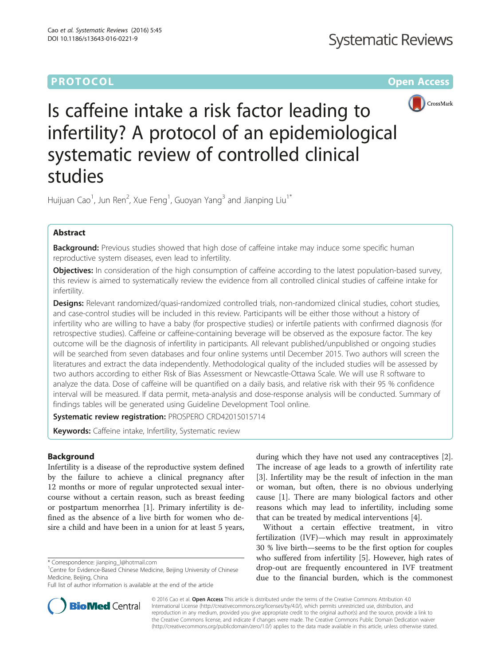# **PROTOCOL CONSUMING THE CONSUMING TEACHER CONSUMING THE CONSUMING TEACHER CONSUMING THE CONSUMING TEACHER CONSUMING**



Is caffeine intake a risk factor leading to infertility? A protocol of an epidemiological systematic review of controlled clinical studies

Huijuan Cao<sup>1</sup>, Jun Ren<sup>2</sup>, Xue Feng<sup>1</sup>, Guoyan Yang<sup>3</sup> and Jianping Liu<sup>1\*</sup>

# Abstract

Background: Previous studies showed that high dose of caffeine intake may induce some specific human reproductive system diseases, even lead to infertility.

Objectives: In consideration of the high consumption of caffeine according to the latest population-based survey, this review is aimed to systematically review the evidence from all controlled clinical studies of caffeine intake for infertility.

Designs: Relevant randomized/quasi-randomized controlled trials, non-randomized clinical studies, cohort studies, and case-control studies will be included in this review. Participants will be either those without a history of infertility who are willing to have a baby (for prospective studies) or infertile patients with confirmed diagnosis (for retrospective studies). Caffeine or caffeine-containing beverage will be observed as the exposure factor. The key outcome will be the diagnosis of infertility in participants. All relevant published/unpublished or ongoing studies will be searched from seven databases and four online systems until December 2015. Two authors will screen the literatures and extract the data independently. Methodological quality of the included studies will be assessed by two authors according to either Risk of Bias Assessment or Newcastle-Ottawa Scale. We will use R software to analyze the data. Dose of caffeine will be quantified on a daily basis, and relative risk with their 95 % confidence interval will be measured. If data permit, meta-analysis and dose-response analysis will be conducted. Summary of findings tables will be generated using Guideline Development Tool online.

Systematic review registration: PROSPERO [CRD42015015714](http://www.crd.york.ac.uk/PROSPERO/display_record.asp?ID=CRD42015015714)

Keywords: Caffeine intake, Infertility, Systematic review

## Background

Infertility is a disease of the reproductive system defined by the failure to achieve a clinical pregnancy after 12 months or more of regular unprotected sexual intercourse without a certain reason, such as breast feeding or postpartum menorrhea [[1](#page-4-0)]. Primary infertility is defined as the absence of a live birth for women who desire a child and have been in a union for at least 5 years,

during which they have not used any contraceptives [\[2](#page-4-0)]. The increase of age leads to a growth of infertility rate [[3\]](#page-4-0). Infertility may be the result of infection in the man or woman, but often, there is no obvious underlying cause [[1\]](#page-4-0). There are many biological factors and other reasons which may lead to infertility, including some that can be treated by medical interventions [[4\]](#page-4-0).

Without a certain effective treatment, in vitro fertilization (IVF)—which may result in approximately 30 % live birth—seems to be the first option for couples who suffered from infertility [[5\]](#page-4-0). However, high rates of drop-out are frequently encountered in IVF treatment due to the financial burden, which is the commonest



© 2016 Cao et al. Open Access This article is distributed under the terms of the Creative Commons Attribution 4.0 International License [\(http://creativecommons.org/licenses/by/4.0/](http://creativecommons.org/licenses/by/4.0/)), which permits unrestricted use, distribution, and reproduction in any medium, provided you give appropriate credit to the original author(s) and the source, provide a link to the Creative Commons license, and indicate if changes were made. The Creative Commons Public Domain Dedication waiver [\(http://creativecommons.org/publicdomain/zero/1.0/](http://creativecommons.org/publicdomain/zero/1.0/)) applies to the data made available in this article, unless otherwise stated.

<sup>\*</sup> Correspondence: [jianping\\_l@hotmail.com](mailto:jianping_l@hotmail.com) <sup>1</sup>

<sup>&</sup>lt;sup>1</sup> Centre for Evidence-Based Chinese Medicine, Beijing University of Chinese Medicine, Beijing, China

Full list of author information is available at the end of the article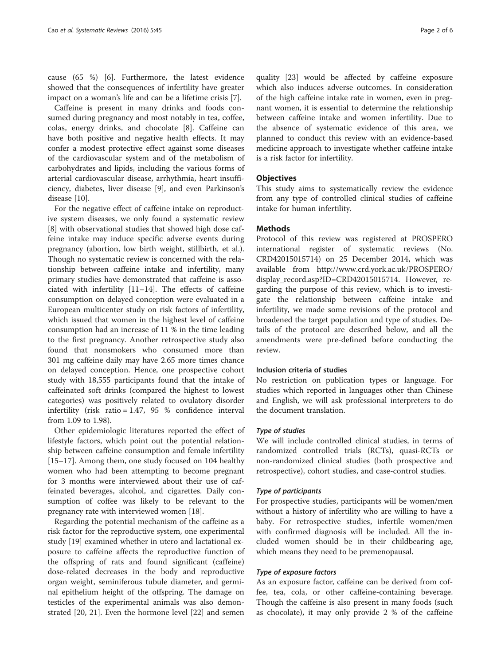cause (65 %) [\[6\]](#page-4-0). Furthermore, the latest evidence showed that the consequences of infertility have greater impact on a woman's life and can be a lifetime crisis [\[7](#page-4-0)].

Caffeine is present in many drinks and foods consumed during pregnancy and most notably in tea, coffee, colas, energy drinks, and chocolate [[8\]](#page-4-0). Caffeine can have both positive and negative health effects. It may confer a modest protective effect against some diseases of the cardiovascular system and of the metabolism of carbohydrates and lipids, including the various forms of arterial cardiovascular disease, arrhythmia, heart insufficiency, diabetes, liver disease [\[9](#page-4-0)], and even Parkinson's disease [\[10](#page-4-0)].

For the negative effect of caffeine intake on reproductive system diseases, we only found a systematic review [[8\]](#page-4-0) with observational studies that showed high dose caffeine intake may induce specific adverse events during pregnancy (abortion, low birth weight, stillbirth, et al.). Though no systematic review is concerned with the relationship between caffeine intake and infertility, many primary studies have demonstrated that caffeine is associated with infertility [[11](#page-4-0)–[14](#page-4-0)]. The effects of caffeine consumption on delayed conception were evaluated in a European multicenter study on risk factors of infertility, which issued that women in the highest level of caffeine consumption had an increase of 11 % in the time leading to the first pregnancy. Another retrospective study also found that nonsmokers who consumed more than 301 mg caffeine daily may have 2.65 more times chance on delayed conception. Hence, one prospective cohort study with 18,555 participants found that the intake of caffeinated soft drinks (compared the highest to lowest categories) was positively related to ovulatory disorder infertility (risk ratio = 1.47, 95 % confidence interval from 1.09 to 1.98).

Other epidemiologic literatures reported the effect of lifestyle factors, which point out the potential relationship between caffeine consumption and female infertility [[15](#page-4-0)–[17](#page-5-0)]. Among them, one study focused on 104 healthy women who had been attempting to become pregnant for 3 months were interviewed about their use of caffeinated beverages, alcohol, and cigarettes. Daily consumption of coffee was likely to be relevant to the pregnancy rate with interviewed women [[18](#page-5-0)].

Regarding the potential mechanism of the caffeine as a risk factor for the reproductive system, one experimental study [[19\]](#page-5-0) examined whether in utero and lactational exposure to caffeine affects the reproductive function of the offspring of rats and found significant (caffeine) dose-related decreases in the body and reproductive organ weight, seminiferous tubule diameter, and germinal epithelium height of the offspring. The damage on testicles of the experimental animals was also demonstrated [\[20, 21](#page-5-0)]. Even the hormone level [[22](#page-5-0)] and semen

quality [\[23\]](#page-5-0) would be affected by caffeine exposure which also induces adverse outcomes. In consideration of the high caffeine intake rate in women, even in pregnant women, it is essential to determine the relationship between caffeine intake and women infertility. Due to the absence of systematic evidence of this area, we planned to conduct this review with an evidence-based medicine approach to investigate whether caffeine intake is a risk factor for infertility.

### **Objectives**

This study aims to systematically review the evidence from any type of controlled clinical studies of caffeine intake for human infertility.

### **Methods**

Protocol of this review was registered at PROSPERO international register of systematic reviews (No. CRD42015015714) on 25 December 2014, which was available from [http://www.crd.york.ac.uk/PROSPERO/](http://www.crd.york.ac.uk/PROSPERO_REBRANDING/display_record.asp?ID=CRD42015015714) [display\\_record.asp?ID=CRD42015015714.](http://www.crd.york.ac.uk/PROSPERO_REBRANDING/display_record.asp?ID=CRD42015015714) However, regarding the purpose of this review, which is to investigate the relationship between caffeine intake and infertility, we made some revisions of the protocol and broadened the target population and type of studies. Details of the protocol are described below, and all the amendments were pre-defined before conducting the review.

#### Inclusion criteria of studies

No restriction on publication types or language. For studies which reported in languages other than Chinese and English, we will ask professional interpreters to do the document translation.

### Type of studies

We will include controlled clinical studies, in terms of randomized controlled trials (RCTs), quasi-RCTs or non-randomized clinical studies (both prospective and retrospective), cohort studies, and case-control studies.

#### Type of participants

For prospective studies, participants will be women/men without a history of infertility who are willing to have a baby. For retrospective studies, infertile women/men with confirmed diagnosis will be included. All the included women should be in their childbearing age, which means they need to be premenopausal.

### Type of exposure factors

As an exposure factor, caffeine can be derived from coffee, tea, cola, or other caffeine-containing beverage. Though the caffeine is also present in many foods (such as chocolate), it may only provide 2 % of the caffeine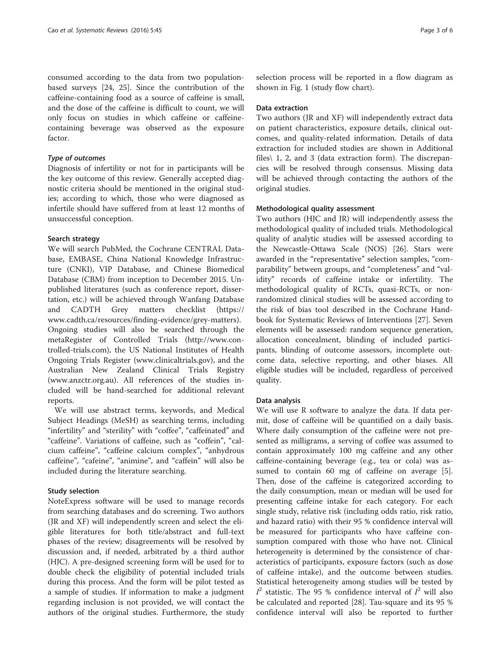consumed according to the data from two populationbased surveys [[24, 25](#page-5-0)]. Since the contribution of the caffeine-containing food as a source of caffeine is small, and the dose of the caffeine is difficult to count, we will only focus on studies in which caffeine or caffeinecontaining beverage was observed as the exposure factor.

### Type of outcomes

Diagnosis of infertility or not for in participants will be the key outcome of this review. Generally accepted diagnostic criteria should be mentioned in the original studies; according to which, those who were diagnosed as infertile should have suffered from at least 12 months of unsuccessful conception.

#### Search strategy

We will search PubMed, the Cochrane CENTRAL Database, EMBASE, China National Knowledge Infrastructure (CNKI), VIP Database, and Chinese Biomedical Database (CBM) from inception to December 2015. Unpublished literatures (such as conference report, dissertation, etc.) will be achieved through Wanfang Database and CADTH Grey matters checklist ([https://](https://www.cadth.ca/resources/finding-evidence/grey-matters) [www.cadth.ca/resources/finding-evidence/grey-matters](https://www.cadth.ca/resources/finding-evidence/grey-matters)). Ongoing studies will also be searched through the metaRegister of Controlled Trials [\(http://www.con](http://www.controlled-trials.com)[trolled-trials.com\)](http://www.controlled-trials.com), the US National Institutes of Health Ongoing Trials Register [\(www.clinicaltrials.gov](http://www.clinicaltrials.gov/)), and the Australian New Zealand Clinical Trials Registry ([www.anzctr.org.au](http://www.anzctr.org.au/)). All references of the studies included will be hand-searched for additional relevant reports.

We will use abstract terms, keywords, and Medical Subject Headings (MeSH) as searching terms, including "infertility" and "sterility" with "coffee", "caffeinated" and "caffeine". Variations of caffeine, such as "coffein", "calcium caffeine", "caffeine calcium complex", "anhydrous caffeine", "cafeine", "animine", and "caffein" will also be included during the literature searching.

### Study selection

NoteExpress software will be used to manage records from searching databases and do screening. Two authors (JR and XF) will independently screen and select the eligible literatures for both title/abstract and full-text phases of the review; disagreements will be resolved by discussion and, if needed, arbitrated by a third author (HJC). A pre-designed screening form will be used for to double check the eligibility of potential included trials during this process. And the form will be pilot tested as a sample of studies. If information to make a judgment regarding inclusion is not provided, we will contact the authors of the original studies. Furthermore, the study selection process will be reported in a flow diagram as shown in Fig. [1](#page-3-0) (study flow chart).

#### Data extraction

Two authors (JR and XF) will independently extract data on patient characteristics, exposure details, clinical outcomes, and quality-related information. Details of data extraction for included studies are shown in Additional files\ [1](#page-4-0), [2,](#page-4-0) and [3](#page-4-0) (data extraction form). The discrepancies will be resolved through consensus. Missing data will be achieved through contacting the authors of the original studies.

### Methodological quality assessment

Two authors (HJC and JR) will independently assess the methodological quality of included trials. Methodological quality of analytic studies will be assessed according to the Newcastle-Ottawa Scale (NOS) [\[26](#page-5-0)]. Stars were awarded in the "representative" selection samples, "comparability" between groups, and "completeness" and "validity" records of caffeine intake or infertility. The methodological quality of RCTs, quasi-RCTs, or nonrandomized clinical studies will be assessed according to the risk of bias tool described in the Cochrane Handbook for Systematic Reviews of Interventions [[27](#page-5-0)]. Seven elements will be assessed: random sequence generation, allocation concealment, blinding of included participants, blinding of outcome assessors, incomplete outcome data, selective reporting, and other biases. All eligible studies will be included, regardless of perceived quality.

#### Data analysis

We will use R software to analyze the data. If data permit, dose of caffeine will be quantified on a daily basis. Where daily consumption of the caffeine were not presented as milligrams, a serving of coffee was assumed to contain approximately 100 mg caffeine and any other caffeine-containing beverage (e.g., tea or cola) was assumed to contain 60 mg of caffeine on average [\[5](#page-4-0)]. Then, dose of the caffeine is categorized according to the daily consumption, mean or median will be used for presenting caffeine intake for each category. For each single study, relative risk (including odds ratio, risk ratio, and hazard ratio) with their 95 % confidence interval will be measured for participants who have caffeine consumption compared with those who have not. Clinical heterogeneity is determined by the consistence of characteristics of participants, exposure factors (such as dose of caffeine intake), and the outcome between studies. Statistical heterogeneity among studies will be tested by  $I^2$  statistic. The 95 % confidence interval of  $I^2$  will also be calculated and reported [[28\]](#page-5-0). Tau-square and its 95 % confidence interval will also be reported to further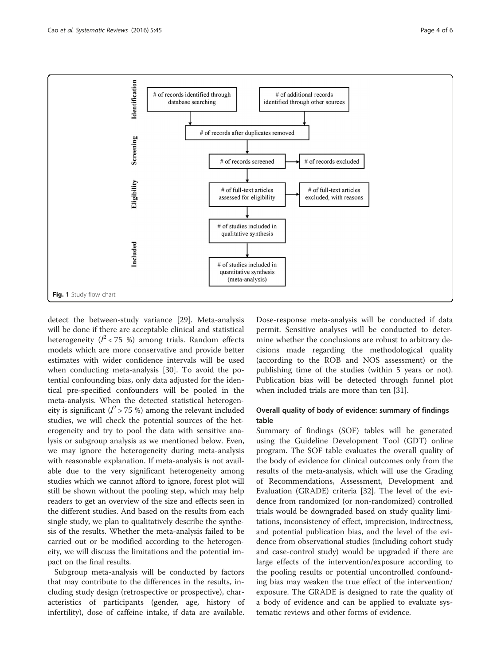<span id="page-3-0"></span>

detect the between-study variance [[29](#page-5-0)]. Meta-analysis will be done if there are acceptable clinical and statistical heterogeneity ( $I^2$  < 75 %) among trials. Random effects models which are more conservative and provide better estimates with wider confidence intervals will be used when conducting meta-analysis [[30](#page-5-0)]. To avoid the potential confounding bias, only data adjusted for the identical pre-specified confounders will be pooled in the meta-analysis. When the detected statistical heterogeneity is significant ( $l^2$  > 75 %) among the relevant included studies, we will check the potential sources of the heterogeneity and try to pool the data with sensitive analysis or subgroup analysis as we mentioned below. Even, we may ignore the heterogeneity during meta-analysis with reasonable explanation. If meta-analysis is not available due to the very significant heterogeneity among studies which we cannot afford to ignore, forest plot will still be shown without the pooling step, which may help readers to get an overview of the size and effects seen in the different studies. And based on the results from each single study, we plan to qualitatively describe the synthesis of the results. Whether the meta-analysis failed to be carried out or be modified according to the heterogeneity, we will discuss the limitations and the potential impact on the final results.

Subgroup meta-analysis will be conducted by factors that may contribute to the differences in the results, including study design (retrospective or prospective), characteristics of participants (gender, age, history of infertility), dose of caffeine intake, if data are available. Dose-response meta-analysis will be conducted if data permit. Sensitive analyses will be conducted to determine whether the conclusions are robust to arbitrary decisions made regarding the methodological quality (according to the ROB and NOS assessment) or the publishing time of the studies (within 5 years or not). Publication bias will be detected through funnel plot when included trials are more than ten [[31\]](#page-5-0).

### Overall quality of body of evidence: summary of findings table

Summary of findings (SOF) tables will be generated using the Guideline Development Tool (GDT) online program. The SOF table evaluates the overall quality of the body of evidence for clinical outcomes only from the results of the meta-analysis, which will use the Grading of Recommendations, Assessment, Development and Evaluation (GRADE) criteria [[32\]](#page-5-0). The level of the evidence from randomized (or non-randomized) controlled trials would be downgraded based on study quality limitations, inconsistency of effect, imprecision, indirectness, and potential publication bias, and the level of the evidence from observational studies (including cohort study and case-control study) would be upgraded if there are large effects of the intervention/exposure according to the pooling results or potential uncontrolled confounding bias may weaken the true effect of the intervention/ exposure. The GRADE is designed to rate the quality of a body of evidence and can be applied to evaluate systematic reviews and other forms of evidence.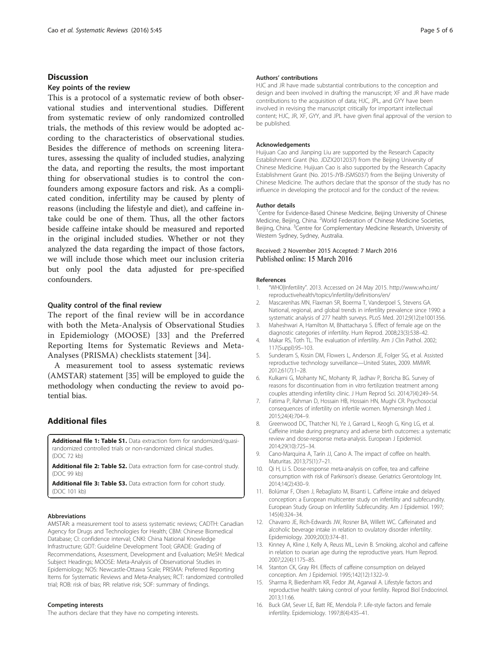### <span id="page-4-0"></span>**Discussion**

### Key points of the review

This is a protocol of a systematic review of both observational studies and interventional studies. Different from systematic review of only randomized controlled trials, the methods of this review would be adopted according to the characteristics of observational studies. Besides the difference of methods on screening literatures, assessing the quality of included studies, analyzing the data, and reporting the results, the most important thing for observational studies is to control the confounders among exposure factors and risk. As a complicated condition, infertility may be caused by plenty of reasons (including the lifestyle and diet), and caffeine intake could be one of them. Thus, all the other factors beside caffeine intake should be measured and reported in the original included studies. Whether or not they analyzed the data regarding the impact of those factors, we will include those which meet our inclusion criteria but only pool the data adjusted for pre-specified confounders.

### Quality control of the final review

The report of the final review will be in accordance with both the Meta-Analysis of Observational Studies in Epidemiology (MOOSE) [[33\]](#page-5-0) and the Preferred Reporting Items for Systematic Reviews and Meta-Analyses (PRISMA) checklists statement [[34](#page-5-0)].

A measurement tool to assess systematic reviews (AMSTAR) statement [[35](#page-5-0)] will be employed to guide the methodology when conducting the review to avoid potential bias.

### Additional files

[Additional file 1: Table S1.](dx.doi.org/10.1186/s13643-016-0221-9) Data extraction form for randomized/quasirandomized controlled trials or non-randomized clinical studies. (DOC 72 kb)

[Additional file 2: Table S2.](dx.doi.org/10.1186/s13643-016-0221-9) Data extraction form for case-control study. (DOC 99 kb)

[Additional file 3: Table S3.](dx.doi.org/10.1186/s13643-016-0221-9) Data extraction form for cohort study. (DOC 101 kb)

#### Abbreviations

AMSTAR: a measurement tool to assess systematic reviews; CADTH: Canadian Agency for Drugs and Technologies for Health; CBM: Chinese Biomedical Database; CI: confidence interval; CNKI: China National Knowledge Infrastructure; GDT: Guideline Development Tool; GRADE: Grading of Recommendations, Assessment, Development and Evaluation; MeSH: Medical Subject Headings; MOOSE: Meta-Analysis of Observational Studies in Epidemiology; NOS: Newcastle-Ottawa Scale; PRISMA: Preferred Reporting Items for Systematic Reviews and Meta-Analyses; RCT: randomized controlled trial; ROB: risk of bias; RR: relative risk; SOF: summary of findings.

#### Competing interests

The authors declare that they have no competing interests.

#### Authors' contributions

HJC and JR have made substantial contributions to the conception and design and been involved in drafting the manuscript; XF and JR have made contributions to the acquisition of data; HJC, JPL, and GYY have been involved in revising the manuscript critically for important intellectual content; HJC, JR, XF, GYY, and JPL have given final approval of the version to be published.

#### **Acknowledgements**

Huijuan Cao and Jianping Liu are supported by the Research Capacity Establishment Grant (No. JDZX2012037) from the Beijing University of Chinese Medicine. Huijuan Cao is also supported by the Research Capacity Establishment Grant (No. 2015-JYB-JSMS037) from the Beijing University of Chinese Medicine. The authors declare that the sponsor of the study has no influence in developing the protocol and for the conduct of the review.

#### Author details

<sup>1</sup> Centre for Evidence-Based Chinese Medicine, Beijing University of Chinese Medicine, Beijing, China. <sup>2</sup>World Federation of Chinese Medicine Societies, Beijing, China. <sup>3</sup>Centre for Complementary Medicine Research, University of Western Sydney, Sydney, Australia.

#### Received: 2 November 2015 Accepted: 7 March 2016 Published online: 15 March 2016

#### References

- 1. "WHO|Infertility". 2013. Accessed on 24 May 2015. [http://www.who.int/](http://www.who.int/reproductivehealth/topics/infertility/definitions/en/) [reproductivehealth/topics/infertility/definitions/en/](http://www.who.int/reproductivehealth/topics/infertility/definitions/en/)
- 2. Mascarenhas MN, Flaxman SR, Boerma T, Vanderpoel S, Stevens GA. National, regional, and global trends in infertility prevalence since 1990: a systematic analysis of 277 health surveys. PLoS Med. 2012;9(12):e1001356.
- 3. Maheshwari A, Hamilton M, Bhattacharya S. Effect of female age on the diagnostic categories of infertility. Hum Reprod. 2008;23(3):538–42.
- 4. Makar RS, Toth TL. The evaluation of infertility. Am J Clin Pathol. 2002; 117(Suppl):95–103.
- 5. Sunderam S, Kissin DM, Flowers L, Anderson JE, Folger SG, et al. Assisted reproductive technology surveillance—United States, 2009. MMWR. 2012;61(7):1–28.
- 6. Kulkarni G, Mohanty NC, Mohanty IR, Jadhav P, Boricha BG. Survey of reasons for discontinuation from in vitro fertilization treatment among couples attending infertility clinic. J Hum Reprod Sci. 2014;7(4):249–54.
- 7. Fatima P, Rahman D, Hossain HB, Hossain HN, Mughi CR. Psychosocial consequences of infertility on infertile women. Mymensingh Med J. 2015;24(4):704–9.
- 8. Greenwood DC, Thatcher NJ, Ye J, Garrard L, Keogh G, King LG, et al. Caffeine intake during pregnancy and adverse birth outcomes: a systematic review and dose-response meta-analysis. European J Epidemiol. 2014;29(10):725–34.
- 9. Cano-Marquina A, Tarín JJ, Cano A. The impact of coffee on health. Maturitas. 2013;75(1):7–21.
- 10. Qi H, Li S. Dose-response meta-analysis on coffee, tea and caffeine consumption with risk of Parkinson's disease. Geriatrics Gerontology Int. 2014;14(2):430–9.
- 11. Bolúmar F, Olsen J, Rebagliato M, Bisanti L. Caffeine intake and delayed conception: a European multicenter study on infertility and subfecundity. European Study Group on Infertility Subfecundity. Am J Epidemiol. 1997; 145(4):324–34.
- 12. Chavarro JE, Rich-Edwards JW, Rosner BA, Willett WC. Caffeinated and alcoholic beverage intake in relation to ovulatory disorder infertility. Epidemiology. 2009;20(3):374–81.
- 13. Kinney A, Kline J, Kelly A, Reuss ML, Levin B. Smoking, alcohol and caffeine in relation to ovarian age during the reproductive years. Hum Reprod. 2007;22(4):1175–85.
- 14. Stanton CK, Gray RH. Effects of caffeine consumption on delayed conception. Am J Epidemiol. 1995;142(12):1322–9.
- 15. Sharma R, Biedenharn KR, Fedor JM, Agarwal A. Lifestyle factors and reproductive health: taking control of your fertility. Reprod Biol Endocrinol. 2013;11:66.
- 16. Buck GM, Sever LE, Batt RE, Mendola P. Life-style factors and female infertility. Epidemiology. 1997;8(4):435–41.